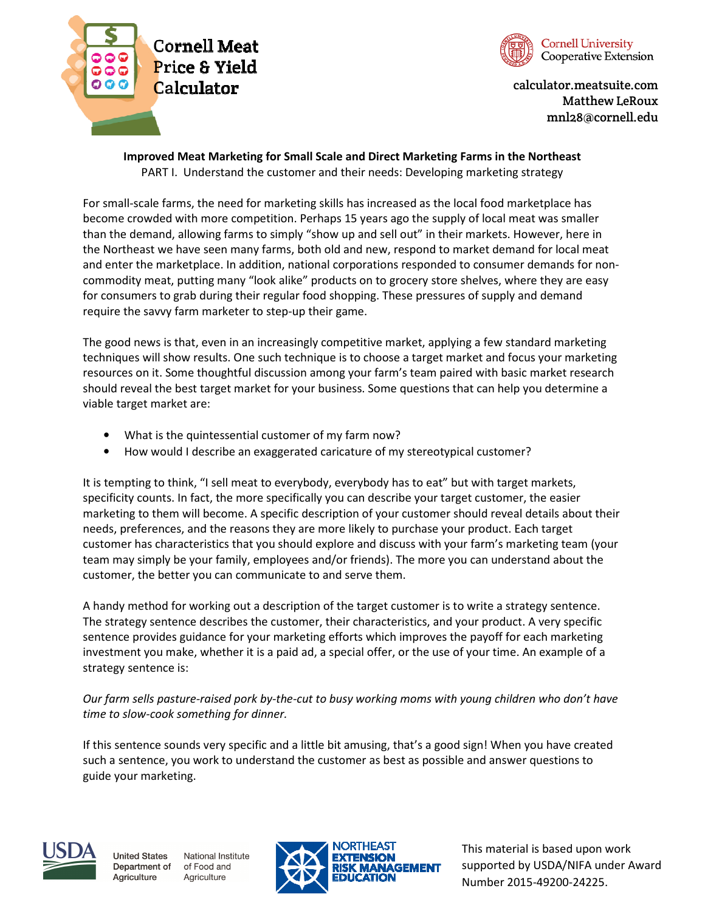



calculator.meatsuite.com Matthew LeRoux mnl28@cornell.edu

## Improved Meat Marketing for Small Scale and Direct Marketing Farms in the Northeast

PART I. Understand the customer and their needs: Developing marketing strategy

For small-scale farms, the need for marketing skills has increased as the local food marketplace has become crowded with more competition. Perhaps 15 years ago the supply of local meat was smaller than the demand, allowing farms to simply "show up and sell out" in their markets. However, here in the Northeast we have seen many farms, both old and new, respond to market demand for local meat and enter the marketplace. In addition, national corporations responded to consumer demands for noncommodity meat, putting many "look alike" products on to grocery store shelves, where they are easy for consumers to grab during their regular food shopping. These pressures of supply and demand require the savvy farm marketer to step-up their game.

The good news is that, even in an increasingly competitive market, applying a few standard marketing techniques will show results. One such technique is to choose a target market and focus your marketing resources on it. Some thoughtful discussion among your farm's team paired with basic market research should reveal the best target market for your business. Some questions that can help you determine a viable target market are:

- What is the quintessential customer of my farm now?
- How would I describe an exaggerated caricature of my stereotypical customer?

It is tempting to think, "I sell meat to everybody, everybody has to eat" but with target markets, specificity counts. In fact, the more specifically you can describe your target customer, the easier marketing to them will become. A specific description of your customer should reveal details about their needs, preferences, and the reasons they are more likely to purchase your product. Each target customer has characteristics that you should explore and discuss with your farm's marketing team (your team may simply be your family, employees and/or friends). The more you can understand about the customer, the better you can communicate to and serve them.

A handy method for working out a description of the target customer is to write a strategy sentence. The strategy sentence describes the customer, their characteristics, and your product. A very specific sentence provides guidance for your marketing efforts which improves the payoff for each marketing investment you make, whether it is a paid ad, a special offer, or the use of your time. An example of a strategy sentence is:

Our farm sells pasture-raised pork by-the-cut to busy working moms with young children who don't have time to slow-cook something for dinner.

If this sentence sounds very specific and a little bit amusing, that's a good sign! When you have created such a sentence, you work to understand the customer as best as possible and answer questions to guide your marketing.





This material is based upon work supported by USDA/NIFA under Award Number 2015-49200-24225.